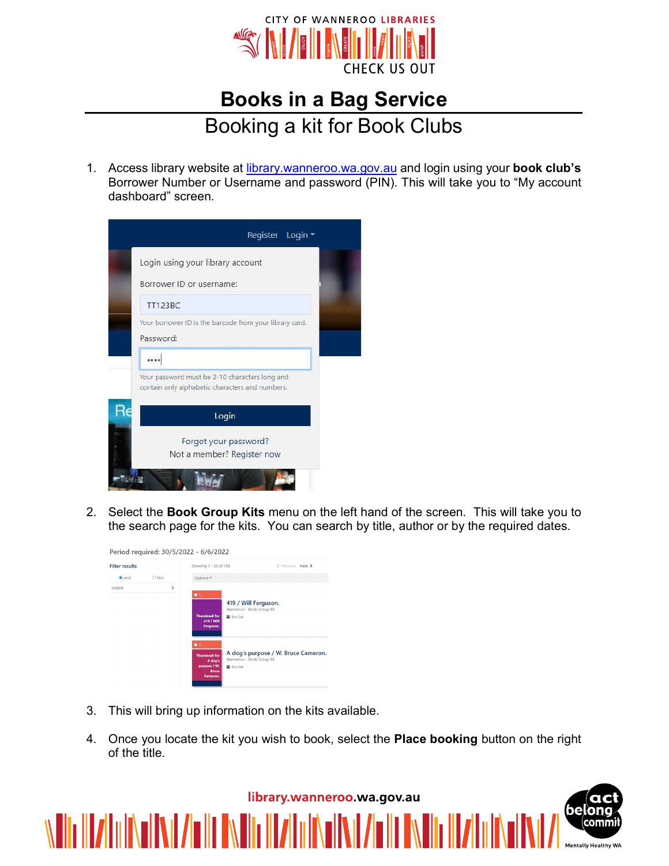

## Books in a Bag Service

## Booking a kit for Book Clubs

1. Access library website at library.wanneroo.wa.gov.au and login using your book club's Borrower Number or Username and password (PIN). This will take you to "My account dashboard" screen.



2. Select the **Book Group Kits** menu on the left hand of the screen. This will take you to the search page for the kits. You can search by title, author or by the required dates.

| <b>Filter results</b> |       |               | Showing 1 - 20 of 158                                                       |                                                   | < Previous Next >                   |  |  |
|-----------------------|-------|---------------|-----------------------------------------------------------------------------|---------------------------------------------------|-------------------------------------|--|--|
| <b>O</b> And          | O Not |               | Options -                                                                   |                                                   |                                     |  |  |
| Added                 |       | $\rightarrow$ | $\blacksquare$ 1.                                                           | 419 / Will Ferguson.<br>Wanneroo - Book Group Kit |                                     |  |  |
|                       |       |               | <b>Thumbnail for</b><br>419 / Will<br>Ferguson.<br>2.                       | <b>Box Set</b>                                    |                                     |  |  |
|                       |       |               | <b>Thumbnail for</b><br>A dog's<br>purpose / W.<br><b>Rruce</b><br>Cameron. | Wanneroo - Book Group Kit<br><b>Box Set</b>       | A dog's purpose / W. Bruce Cameron. |  |  |

- 3. This will bring up information on the kits available.
- 4. Once you locate the kit you wish to book, select the Place booking button on the right of the title.